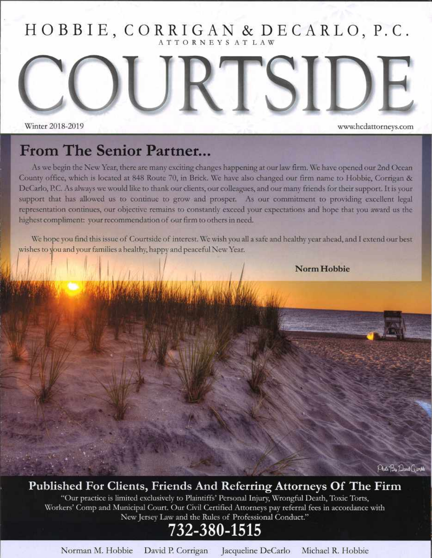HOBBIE, CORRIGAN & DECARLO, P.C. ATTORNEYS AT LAW

Winter 2018-2019 www.hcdattorneys.com

#### From The Senior Partner...

As we begin the New Year, there are many exciting changes happening at our law firm. We have opened our 2nd Ocean County office, which is located at 848 Route 70, in Brick. We have also changed our firm name to Hobbie, Corrigan & DeCarlo, P.C. As always we would like to thank our clients, our colleagues, and our many friends for their support. It is your support that has allowed us to continue to grow and prosper. As our commitment to providing excellent legal representation continues, our objective remains to constantly exceed your expectations and hope that you award us the highest compliment: your recommendation of our firm to others in need.

We hope you find this issue of Courtside of interest. We wish you all a safe and healthy year ahead, and I extend our best wishes to you and your families a healthy, happy and peaceful New Year.

**Norm Hobbie** 

SI

Photo By Donal Grouth

#### Published For Clients, Friends And Referring Attorneys Of The Firm

"Our practice is limited exclusively to Plaintiffs' Personal Injury, Wrongful Death, Toxic Torts, Workers' Comp and Municipal Court. Our Civil Certified Attorneys pay referral fees in accordance with New Jersey Law and the Rules of Professional Conduct."

#### 732-380-1515

Norman M. Hobbie David P. Corrigan Jacqueline DeCarlo Michael R. Hobbie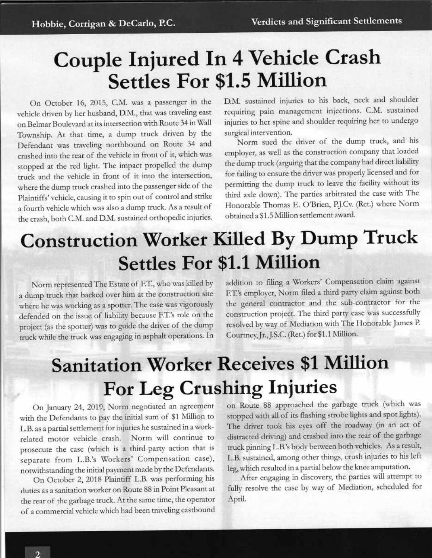### Couple Iniured In 4 Vehicle Crash Settles For \$1.5 Million

On October 16, 2015, C.M. was a passenger in the vehicle driven by her husband, D.M., that was traveling east on Belmar Boulevard at its intersection with Route 34 in Wall Township. At that time, a dump truck driven by the Defendant was traveling northbound on Route 34 znd crashed into the rear of the vehicle in front of it, which was stopped at the red light. The impact propelled the dump truck and the vehicle in front of it into the intersection, where the dump truck crashed into the passenget side of the Plaintiffs'vehicle, causing it to spin out of control and strike <sup>a</sup>fourth vehicle which was also a dump truck. As a result of the crash, both C.M. and D.M. sustained orthopedic iniuries.

D.M. sustained injuries to his back, neck and shouider requiring pain management injections. C.M. sustained injuries to her spine and shouldet requiring her to undergo surgical intervention.

Norm sued the driver of the dump truck, and his employer, as well as the construction company that loaded the dump ttuck (arguing that the company had direct liability for failing to ensure the driver was properly licensed and for permitting the dump truck to leave the facility without its third axle down). The parties atbittated the case with The Honorable Thomas E. O'Brien, P.J.Cv. (Ret.) where Norm obtained a \$1.5 Million setdement award.

### Construction Worker Killed By Dump Truck Settles For \$1.1 Million

Norm representedThe Estate of F.T., who was killed by a dump truck that backed over him at the construction site where he was working as a spotter. The case was vigorously defended on the issue of liability because F.T.'s role on the project (as the spotter) was to guide the driver of the dump truck while the truck was engaging in asphalt operations. In addition to filing a Workers' Compensation claim against F.T.'s employer, Notm filed a third party claim against both the general contractor and the sub-contractor for the construction project. The third party case was successfully resolved by way of Mediation with The Honorable James P. Courtney, Jr., J.S.C. (Ret.) for \$1.1 Million.

# **Sanitation Worker Receives \$1 Million** For Leg Crushing Injuries

On January 24, 2019, Norm negotiated an agreement with the Defendants to pay the initial sum of \$1 Million to L.B. as a partial settlement for injuries he sustained in a workrelated motor vehicle crash. Norm will continue to prosecute the case (which is a third-party action that is separate from L.B.'s Workers' Compensation case), notwithstanding the initial payment made by the Defendants.

On October 2, 2018 Plaintiff L.B. was performing his duties as a sanitation worker on Route 88 in Point Pleasant at the rear of the garbage truck. At the same time, the operator of a commercial vehicle which had been traveling eastbound

on Route 88 approached the garbage truck (which was stopped with all of its flashing strobe lights and spot lights). The driver took his eyes off the roadway (in an act of distracted driving) and crashed into the rezr of the garbage truck pinning L.B.'s body between both vehicles. As a result, L.B. sustained, among other things, ctush iniuries to his left leg, which resulted in a partial below the knee amputation.

After engaging in discovery, the parties will attempt to fully resolve the case by way of Mediation, scheduled for April.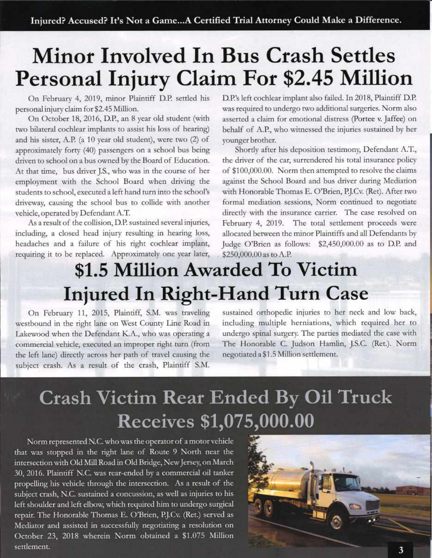# Minor Involved In Bus Crash Settles Personal Injury Claim For \$2.45 Million

On February 4, 2019, minor Plaintiff D.P. settled his personal injury claim for \$2.45 Million.

On October 18, 2016, D.P., an 8 year old student (with two bilateral cochlear implants to assist his loss of hearing) and his sister, A.P. (a 10 year old student), were two (2) of approximately forty (40) passengers on a school bus being driven to school on a bus owned by the Board of Education. At that time, bus driver J.S., who was in the course of her employment with the School Board when driving the students to school, executed a left hand turn into the school's driveway, causing the school bus to collide with another vehicle, operated by Defendant A.T.

As a result of the collision, D.P. sustained several injuries, including, a closed head injury resulting in hearing loss, headaches and a failure of his right cochlear implant, requiring it to be replaced. Approximately one year later, D.P.'s left cochlear implant also failed. In 2018, Plaintiff D.P. was required to undergo two additional surgeries. Norm also asserted a claim for emotional disttess (Portee v. Jaffee) on behalf of A.P., who witnessed the injuries sustained by her younger brother.

Shortly after his deposition testimony, Defendant A.T., the driver of the car, surrendered his total insurance policy of \$100,000.00. Norm then attempted to resolve the claims against the School Board and bus driver during Mediation with Honorable Thomas E. O'Brien, P.J.Cv. (Ret). After two formal mediation sessions, Norm continued to negotiate directly with the insurance carrier. The case resolved on February 4, 2019. The total settlement proceeds were allocated between the minor Plaintiffs and all Defendants by Judge O'Brien as follows: \$2,450,000.00 as to D.P. and \$250,000.00 as to A.P.

### \$1.5 Million Awarded To Victim Iniured In Right-Hand Turn Case

On February 11, 2015, Plaintiff, S.M. was traveling westbound in the right lane on West County Line Road in Lakewood when the Defendant K.A., who was operating a commercial vehicle, executed an improper right turn (from the left lane) direcdy across her path of travel causing the subiect crash. As a result of the crash, Plaintiff S.M.

sustained orthopedic injuries to her neck and low back, including multiple herniations, which required her to undergo spinal surgery. The parties mediated the case with The Honorable C. Judson Hamlin, J.S.C. (Ret.). Norm negotiated a \$1.5 Million setdement.

### Crash Victim Rear Ended By Oil Truck Receives \$1,075,000.00

Norm represented N.C. who was the operator of a motor vehicle that was stopped in the right lane of Route 9 North near the intersection with Old Mill Road in Old Bridge, New Jersey, on March 30, 2016. Plaintiff N.C. was rear-ended by a commercial oil tanker propelling his vehicle through the intersection. As a result of the subject crash, N.C. sustained a concussion, as well as injuries to his left shoulder and left elbow, which required him to undergo surgical repair. The Honorable Thomas E. O'Brien, P.J.Cv. (Ret.) served as Mediator and assisted in successfully negotiating a resolution on October 23, 2018 wherein Norm obtained a \$1.075 Million settlement.